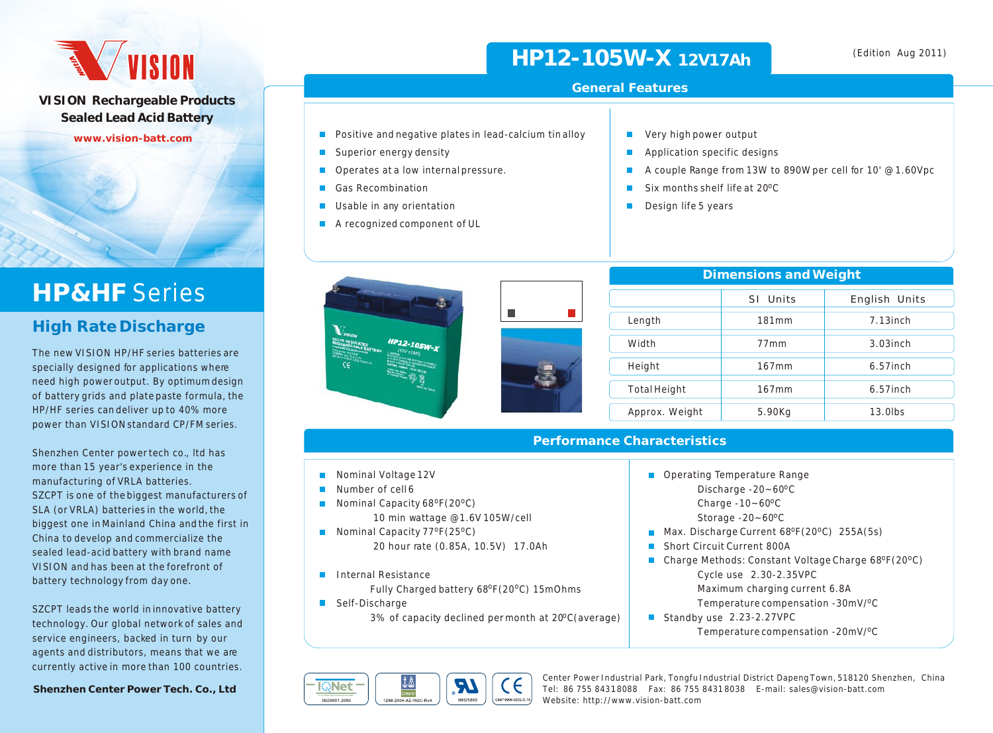# **AVISION**

**VISION Rechargeable Products Sealed Lead Acid Battery**

**www.vision-batt.com**

# **HP&HF** Series

#### **High Rate Discharge**

The new VISION HP/HF series batteries are specially designed for applications where need high power output. By optimum design of battery grids and plate paste formula, the HP/HF series can deliver up to 40% more power than VISION standard CP/FM series.

Shenzhen Center power tech co., ltd has more than 15 year's experience in the manufacturing of VRLA batteries. SZCPT is one of the biggest manufacturers of SLA (or VRLA) batteries in the world, the biggest one in Mainland China and the first in China to develop and commercialize the sealed lead-acid battery with brand name VISION and has been at the forefront of battery technology from day one.

SZCPT leads the world in innovative battery technology. Our global network of sales and service engineers, backed in turn by our agents and distributors, means that we are currently active in more than 100 countries.

**Shenzhen Center Power Tech. Co., Ltd**

## **HP12-105W-X 12V17Ah**

- $\blacksquare$  Positive and negative plates in lead-calcium tin alloy
- Superior energy density
- Operates at a low internal pressure.
- Gas Recombination
- Usable in any orientation  $\blacksquare$
- A recognized component of UL



| Dimensions and Weight |          |               |  |  |  |  |  |  |
|-----------------------|----------|---------------|--|--|--|--|--|--|
|                       | SI Units | English Units |  |  |  |  |  |  |
| Length                | 181mm    | $7.13$ inch   |  |  |  |  |  |  |
| Width                 | 77mm     | $3.03$ inch   |  |  |  |  |  |  |
| Height                | 167mm    | $6.57$ inch   |  |  |  |  |  |  |
| <b>Total Height</b>   | 167mm    | $6.57$ inch   |  |  |  |  |  |  |
| Approx. Weight        | 5.90Kg   | $13.0$ lbs    |  |  |  |  |  |  |

#### **Performance Characteristics**

- Nominal Voltage 12V
- $\mathbf{r}$ Number of cell 6
- Nominal Capacity  $68^{\circ}F(20^{\circ}C)$
- 10 min wattage @1.6V 105W/cell
- **Nominal Capacity 77°F(25°C)** 20 hour rate (0.85A, 10.5V) 17.0Ah
- **Internal Resistance** 
	- Fully Charged battery 68°F(20°C) 15mOhms
- Self-Discharge

3% of capacity declined permonth at 20°C(average)



Center Power Industrial Park, Tongfu Industrial District Dapeng Town, 518120 Shenzhen, China Tel: 86 755 8431 8088 Fax: 86 755 8431 8038 E-mail: sales@vision-batt.com Website: http://www.vision-batt.com

■ Operating Temperature Range Discharge -20~60°C Charge  $-10-60$ <sup>o</sup>C Storage  $-20-60$ <sup>o</sup>C

■ Short Circuit Current 800A

Cycle use 2.30-2.35VPC

Standby use 2.23-2.27VPC

**Max. Discharge Current 68 °F(20 °C)** 255A(5s)

■ Charge Methods: Constant Voltage Charge 68ºF(20°C)

 Maximum charging current 6.8A Temperature compensation -30mV/<sup>o</sup>C

Temperature compensation -20mV/<sup>o</sup>C

(Edition Aug 2011)

- $\blacksquare$ Very high power output
- Application specific designs  $\blacksquare$
- $\blacksquare$ A couple Range from 13W to 890W per cell for 10' @ 1.60Vpc
- Six months shelf life at 20°C
- Design life 5 years